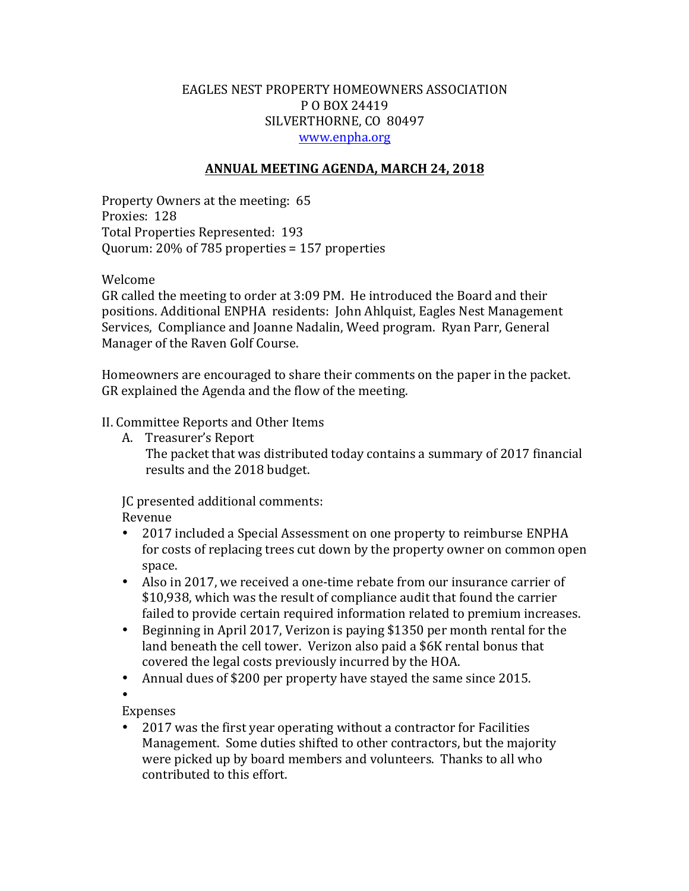# EAGLES NEST PROPERTY HOMEOWNERS ASSOCIATION P O BOX 24419 SILVERTHORNE, CO 80497 www.enpha.org

### **ANNUAL MEETING AGENDA, MARCH 24, 2018**

Property Owners at the meeting: 65 Proxies: 128 Total Properties Represented: 193 Quorum:  $20\%$  of 785 properties = 157 properties

Welcome

GR called the meeting to order at 3:09 PM. He introduced the Board and their positions. Additional ENPHA residents: John Ahlquist, Eagles Nest Management Services, Compliance and Joanne Nadalin, Weed program. Ryan Parr, General Manager of the Raven Golf Course.

Homeowners are encouraged to share their comments on the paper in the packet. GR explained the Agenda and the flow of the meeting.

### II. Committee Reports and Other Items

A. Treasurer's Report

The packet that was distributed today contains a summary of 2017 financial results and the 2018 budget.

JC presented additional comments: Revenue 

- 2017 included a Special Assessment on one property to reimburse ENPHA for costs of replacing trees cut down by the property owner on common open space.
- Also in 2017, we received a one-time rebate from our insurance carrier of \$10,938, which was the result of compliance audit that found the carrier failed to provide certain required information related to premium increases.
- Beginning in April 2017, Verizon is paying \$1350 per month rental for the land beneath the cell tower. Verizon also paid a \$6K rental bonus that covered the legal costs previously incurred by the HOA.
- Annual dues of \$200 per property have stayed the same since 2015.

•

Expenses 

• 2017 was the first year operating without a contractor for Facilities Management. Some duties shifted to other contractors, but the majority were picked up by board members and volunteers. Thanks to all who contributed to this effort.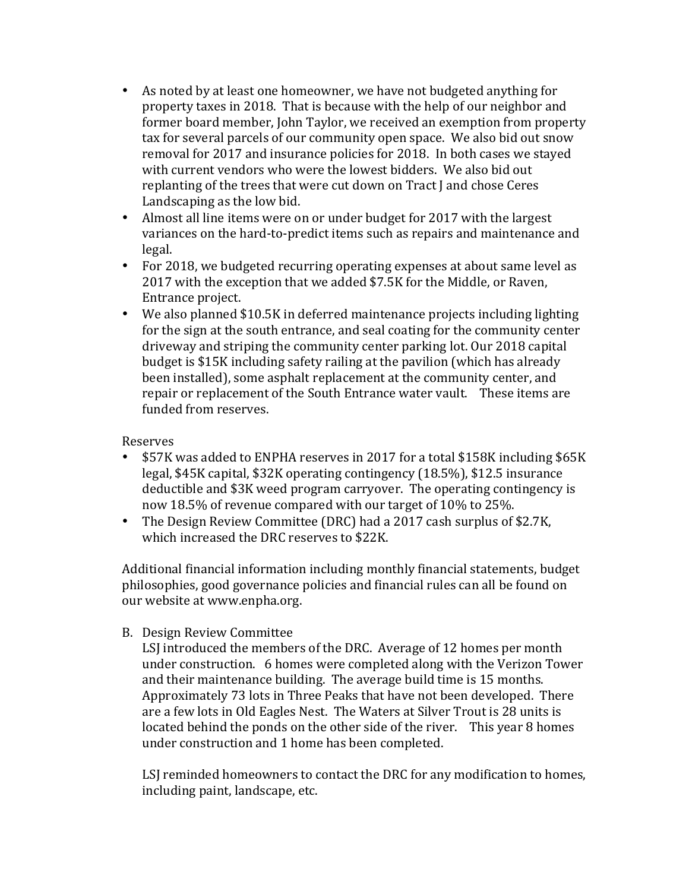- As noted by at least one homeowner, we have not budgeted anything for property taxes in 2018. That is because with the help of our neighbor and former board member, John Taylor, we received an exemption from property tax for several parcels of our community open space. We also bid out snow removal for 2017 and insurance policies for 2018. In both cases we stayed with current vendors who were the lowest bidders. We also bid out replanting of the trees that were cut down on Tract J and chose Ceres Landscaping as the low bid.
- Almost all line items were on or under budget for 2017 with the largest variances on the hard-to-predict items such as repairs and maintenance and legal.
- For 2018, we budgeted recurring operating expenses at about same level as 2017 with the exception that we added \$7.5K for the Middle, or Raven, Entrance project.
- We also planned \$10.5K in deferred maintenance projects including lighting for the sign at the south entrance, and seal coating for the community center driveway and striping the community center parking lot. Our 2018 capital budget is \$15K including safety railing at the pavilion (which has already been installed), some asphalt replacement at the community center, and repair or replacement of the South Entrance water vault. These items are funded from reserves.

# Reserves

- \$57K was added to ENPHA reserves in 2017 for a total \$158K including \$65K legal, \$45K capital, \$32K operating contingency (18.5%), \$12.5 insurance deductible and \$3K weed program carryover. The operating contingency is now 18.5% of revenue compared with our target of 10% to 25%.
- The Design Review Committee (DRC) had a 2017 cash surplus of \$2.7K, which increased the DRC reserves to \$22K.

Additional financial information including monthly financial statements, budget philosophies, good governance policies and financial rules can all be found on our website at www.enpha.org.

B. Design Review Committee

LSJ introduced the members of the DRC. Average of 12 homes per month under construction. 6 homes were completed along with the Verizon Tower and their maintenance building. The average build time is 15 months. Approximately 73 lots in Three Peaks that have not been developed. There are a few lots in Old Eagles Nest. The Waters at Silver Trout is 28 units is located behind the ponds on the other side of the river. This year 8 homes under construction and 1 home has been completed.

LSJ reminded homeowners to contact the DRC for any modification to homes, including paint, landscape, etc.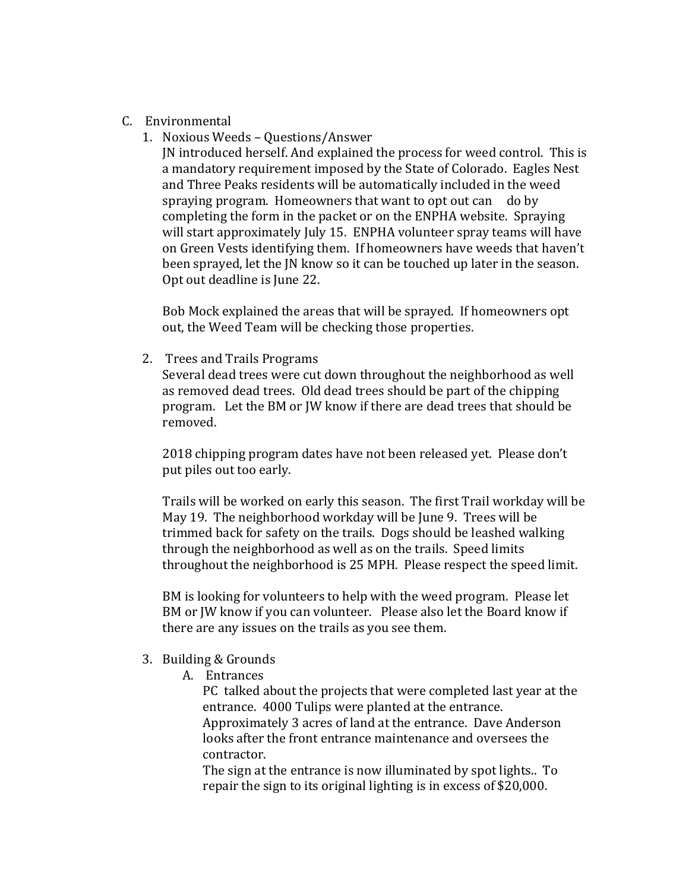- C. Environmental
	- 1. Noxious Weeds Questions/Answer

JN introduced herself. And explained the process for weed control. This is a mandatory requirement imposed by the State of Colorado. Eagles Nest and Three Peaks residents will be automatically included in the weed spraying program. Homeowners that want to opt out can do by completing the form in the packet or on the ENPHA website. Spraying will start approximately July 15. ENPHA volunteer spray teams will have on Green Vests identifying them. If homeowners have weeds that haven't been sprayed, let the JN know so it can be touched up later in the season. Opt out deadline is June 22.

Bob Mock explained the areas that will be sprayed. If homeowners opt out, the Weed Team will be checking those properties.

2. Trees and Trails Programs

Several dead trees were cut down throughout the neighborhood as well as removed dead trees. Old dead trees should be part of the chipping program. Let the BM or JW know if there are dead trees that should be removed.

2018 chipping program dates have not been released yet. Please don't put piles out too early.

Trails will be worked on early this season. The first Trail workday will be May 19. The neighborhood workday will be June 9. Trees will be trimmed back for safety on the trails. Dogs should be leashed walking through the neighborhood as well as on the trails. Speed limits throughout the neighborhood is 25 MPH. Please respect the speed limit.

BM is looking for volunteers to help with the weed program. Please let BM or JW know if you can volunteer. Please also let the Board know if there are any issues on the trails as you see them.

- 3. Building & Grounds
	- A. Entrances

PC talked about the projects that were completed last year at the entrance. 4000 Tulips were planted at the entrance. Approximately 3 acres of land at the entrance. Dave Anderson looks after the front entrance maintenance and oversees the contractor. 

The sign at the entrance is now illuminated by spot lights.. To repair the sign to its original lighting is in excess of \$20,000.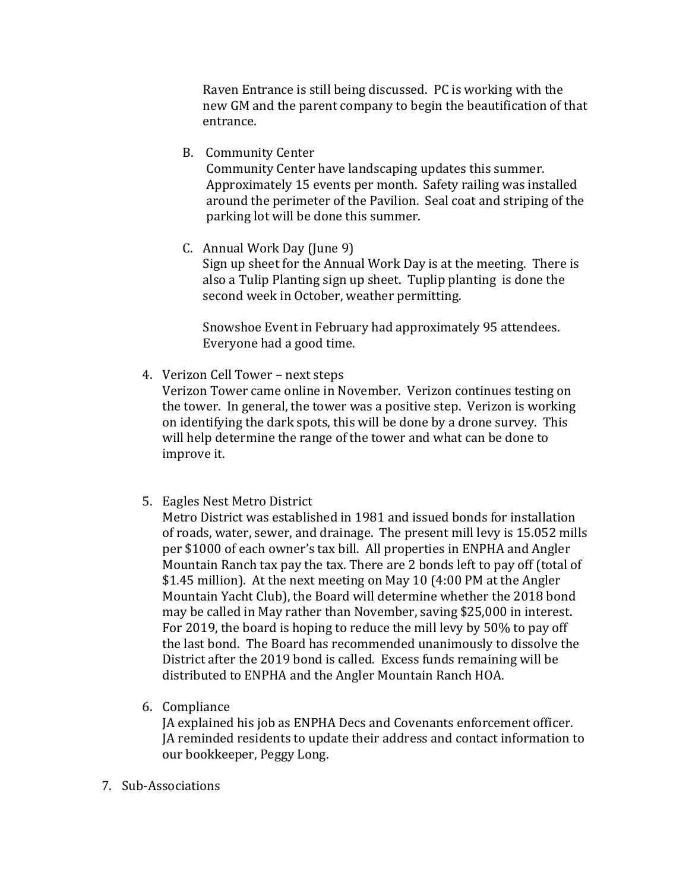Raven Entrance is still being discussed. PC is working with the new GM and the parent company to begin the beautification of that entrance.

B. Community Center

Community Center have landscaping updates this summer. Approximately 15 events per month. Safety railing was installed around the perimeter of the Pavilion. Seal coat and striping of the parking lot will be done this summer.

C. Annual Work Day (June 9)

Sign up sheet for the Annual Work Day is at the meeting. There is also a Tulip Planting sign up sheet. Tuplip planting is done the second week in October, weather permitting.

Snowshoe Event in February had approximately 95 attendees. Everyone had a good time.

4. Verizon Cell Tower - next steps

Verizon Tower came online in November. Verizon continues testing on the tower. In general, the tower was a positive step. Verizon is working on identifying the dark spots, this will be done by a drone survey. This will help determine the range of the tower and what can be done to improve it.

5. Eagles Nest Metro District

Metro District was established in 1981 and issued bonds for installation of roads, water, sewer, and drainage. The present mill levy is 15.052 mills per \$1000 of each owner's tax bill. All properties in ENPHA and Angler Mountain Ranch tax pay the tax. There are 2 bonds left to pay off (total of \$1.45 million). At the next meeting on May 10 (4:00 PM at the Angler Mountain Yacht Club), the Board will determine whether the 2018 bond may be called in May rather than November, saving \$25,000 in interest. For 2019, the board is hoping to reduce the mill levy by 50% to pay off the last bond. The Board has recommended unanimously to dissolve the District after the 2019 bond is called. Excess funds remaining will be distributed to ENPHA and the Angler Mountain Ranch HOA.

6. Compliance

JA explained his job as ENPHA Decs and Covenants enforcement officer. JA reminded residents to update their address and contact information to our bookkeeper, Peggy Long.

7. Sub-Associations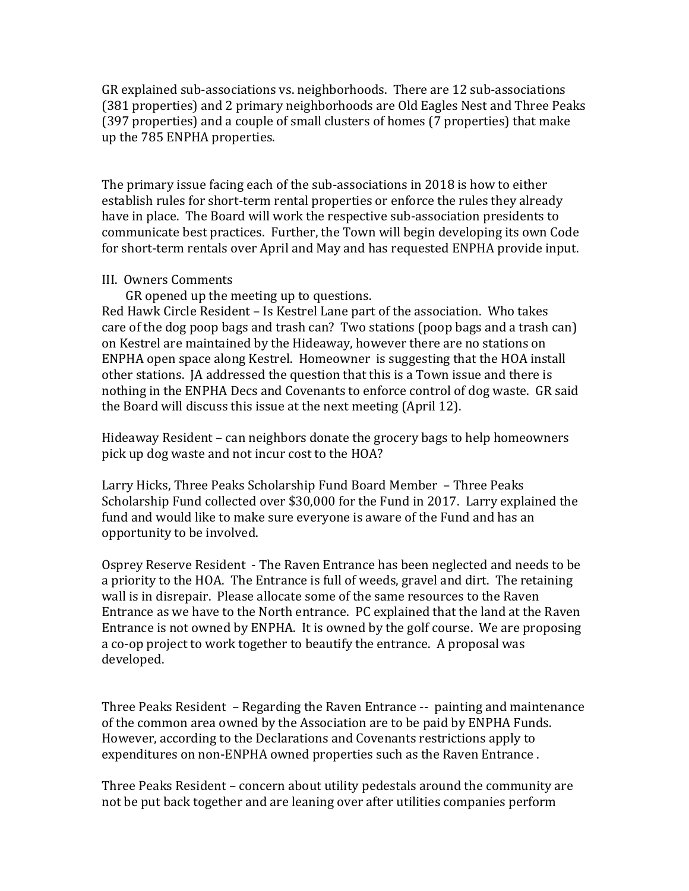GR explained sub-associations vs. neighborhoods. There are 12 sub-associations (381 properties) and 2 primary neighborhoods are Old Eagles Nest and Three Peaks (397 properties) and a couple of small clusters of homes (7 properties) that make up the 785 ENPHA properties.

The primary issue facing each of the sub-associations in 2018 is how to either establish rules for short-term rental properties or enforce the rules they already have in place. The Board will work the respective sub-association presidents to communicate best practices. Further, the Town will begin developing its own Code for short-term rentals over April and May and has requested ENPHA provide input.

#### III. Owners Comments

GR opened up the meeting up to questions.

Red Hawk Circle Resident – Is Kestrel Lane part of the association. Who takes care of the dog poop bags and trash can? Two stations (poop bags and a trash can) on Kestrel are maintained by the Hideaway, however there are no stations on ENPHA open space along Kestrel. Homeowner is suggesting that the HOA install other stations. IA addressed the question that this is a Town issue and there is nothing in the ENPHA Decs and Covenants to enforce control of dog waste. GR said the Board will discuss this issue at the next meeting (April 12).

Hideaway Resident – can neighbors donate the grocery bags to help homeowners pick up dog waste and not incur cost to the HOA?

Larry Hicks, Three Peaks Scholarship Fund Board Member - Three Peaks Scholarship Fund collected over \$30,000 for the Fund in 2017. Larry explained the fund and would like to make sure everyone is aware of the Fund and has an opportunity to be involved.

Osprey Reserve Resident - The Raven Entrance has been neglected and needs to be a priority to the HOA. The Entrance is full of weeds, gravel and dirt. The retaining wall is in disrepair. Please allocate some of the same resources to the Raven Entrance as we have to the North entrance. PC explained that the land at the Raven Entrance is not owned by ENPHA. It is owned by the golf course. We are proposing a co-op project to work together to beautify the entrance. A proposal was developed. 

Three Peaks Resident – Regarding the Raven Entrance -- painting and maintenance of the common area owned by the Association are to be paid by ENPHA Funds. However, according to the Declarations and Covenants restrictions apply to expenditures on non-ENPHA owned properties such as the Raven Entrance.

Three Peaks Resident – concern about utility pedestals around the community are not be put back together and are leaning over after utilities companies perform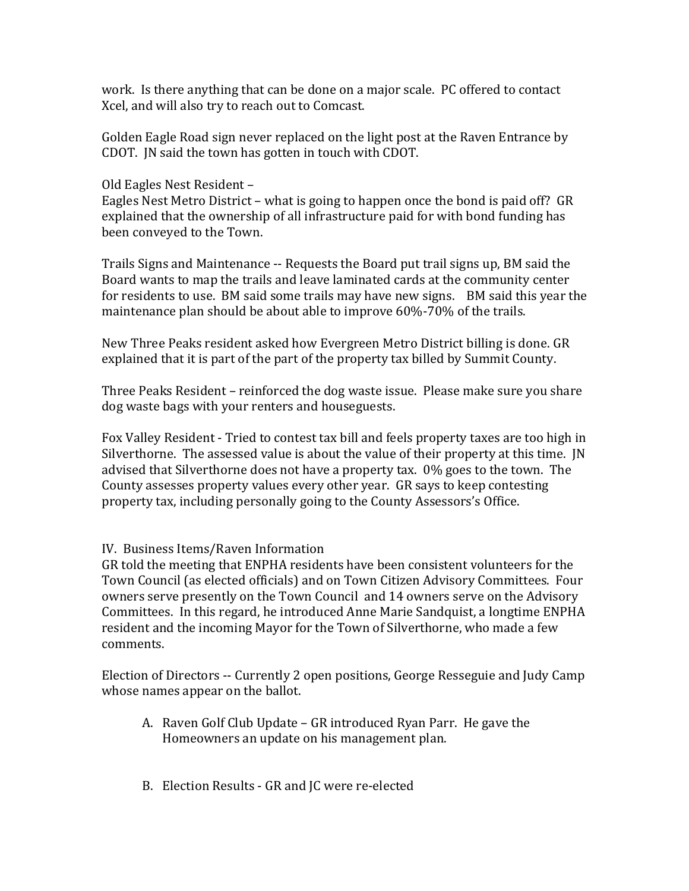work. Is there anything that can be done on a major scale. PC offered to contact Xcel, and will also try to reach out to Comcast.

Golden Eagle Road sign never replaced on the light post at the Raven Entrance by CDOT. JN said the town has gotten in touch with CDOT.

Old Eagles Nest Resident -

Eagles Nest Metro District – what is going to happen once the bond is paid off? GR explained that the ownership of all infrastructure paid for with bond funding has been conveyed to the Town.

Trails Signs and Maintenance -- Requests the Board put trail signs up, BM said the Board wants to map the trails and leave laminated cards at the community center for residents to use. BM said some trails may have new signs. BM said this year the maintenance plan should be about able to improve  $60\% - 70\%$  of the trails.

New Three Peaks resident asked how Evergreen Metro District billing is done. GR explained that it is part of the part of the property tax billed by Summit County.

Three Peaks Resident – reinforced the dog waste issue. Please make sure you share dog waste bags with your renters and houseguests.

Fox Valley Resident - Tried to contest tax bill and feels property taxes are too high in Silverthorne. The assessed value is about the value of their property at this time. [N] advised that Silverthorne does not have a property tax.  $0\%$  goes to the town. The County assesses property values every other year. GR says to keep contesting property tax, including personally going to the County Assessors's Office.

IV. Business Items/Raven Information

GR told the meeting that ENPHA residents have been consistent volunteers for the Town Council (as elected officials) and on Town Citizen Advisory Committees. Four owners serve presently on the Town Council and 14 owners serve on the Advisory Committees. In this regard, he introduced Anne Marie Sandquist, a longtime ENPHA resident and the incoming Mayor for the Town of Silverthorne, who made a few comments.

Election of Directors -- Currently 2 open positions, George Resseguie and Judy Camp whose names appear on the ballot.

- A. Raven Golf Club Update GR introduced Ryan Parr. He gave the Homeowners an update on his management plan.
- B. Election Results GR and JC were re-elected